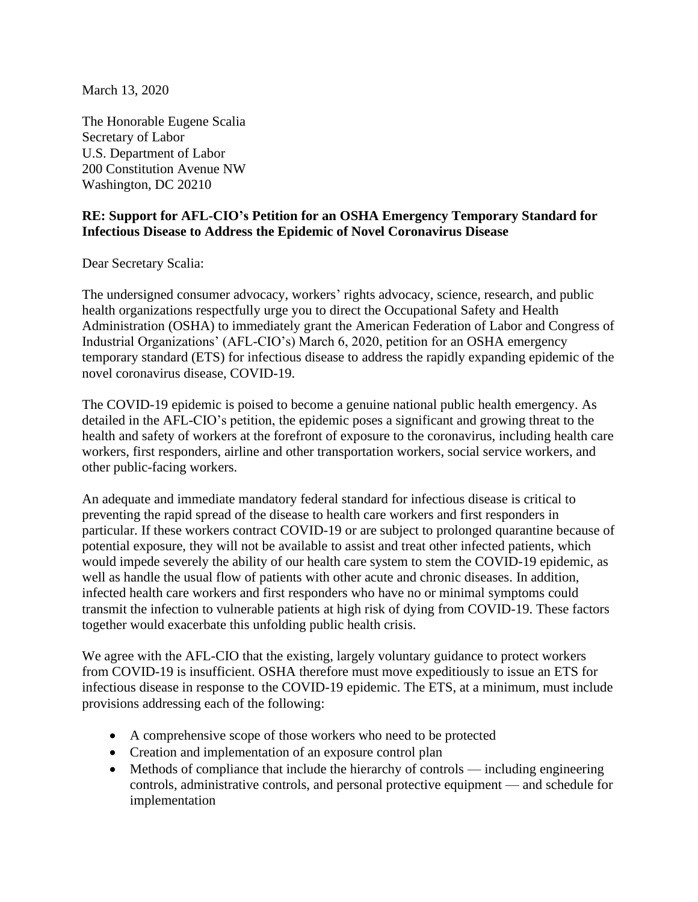March 13, 2020

The Honorable Eugene Scalia Secretary of Labor U.S. Department of Labor 200 Constitution Avenue NW Washington, DC 20210

## **RE: Support for AFL-CIO's Petition for an OSHA Emergency Temporary Standard for Infectious Disease to Address the Epidemic of Novel Coronavirus Disease**

Dear Secretary Scalia:

The undersigned consumer advocacy, workers' rights advocacy, science, research, and public health organizations respectfully urge you to direct the Occupational Safety and Health Administration (OSHA) to immediately grant the American Federation of Labor and Congress of Industrial Organizations' (AFL-CIO's) March 6, 2020, petition for an OSHA emergency temporary standard (ETS) for infectious disease to address the rapidly expanding epidemic of the novel coronavirus disease, COVID-19.

The COVID-19 epidemic is poised to become a genuine national public health emergency. As detailed in the AFL-CIO's petition, the epidemic poses a significant and growing threat to the health and safety of workers at the forefront of exposure to the coronavirus, including health care workers, first responders, airline and other transportation workers, social service workers, and other public-facing workers.

An adequate and immediate mandatory federal standard for infectious disease is critical to preventing the rapid spread of the disease to health care workers and first responders in particular. If these workers contract COVID-19 or are subject to prolonged quarantine because of potential exposure, they will not be available to assist and treat other infected patients, which would impede severely the ability of our health care system to stem the COVID-19 epidemic, as well as handle the usual flow of patients with other acute and chronic diseases. In addition, infected health care workers and first responders who have no or minimal symptoms could transmit the infection to vulnerable patients at high risk of dying from COVID-19. These factors together would exacerbate this unfolding public health crisis.

We agree with the AFL-CIO that the existing, largely voluntary guidance to protect workers from COVID-19 is insufficient. OSHA therefore must move expeditiously to issue an ETS for infectious disease in response to the COVID-19 epidemic. The ETS, at a minimum, must include provisions addressing each of the following:

- A comprehensive scope of those workers who need to be protected
- Creation and implementation of an exposure control plan
- Methods of compliance that include the hierarchy of controls including engineering controls, administrative controls, and personal protective equipment — and schedule for implementation